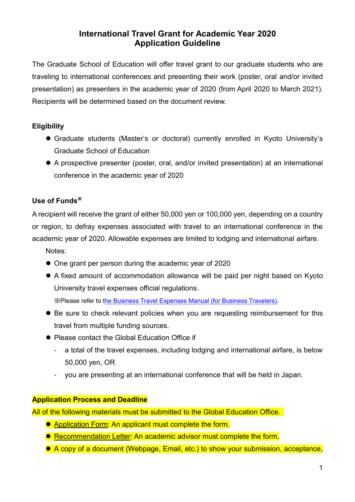# **International Travel Grant for Academic Year 2020 Application Guideline**

The Graduate School of Education will offer travel grant to our graduate students who are traveling to international conferences and presenting their work (poster, oral and/or invited presentation) as presenters in the academic year of 2020 (from April 2020 to March 2021). Recipients will be determined based on the document review.

# **Eligibility**

- Graduate students (Master's or doctoral) currently enrolled in Kyoto University's Graduate School of Education
- A prospective presenter (poster, oral, and/or invited presentation) at an international conference in the academic year of 2020

# **Use of Funds**※

A recipient will receive the grant of either 50,000 yen or 100,000 yen, depending on a country or region, to defray expenses associated with travel to an international conference in the academic year of 2020. Allowable expenses are limited to lodging and international airfare.

- Notes:
- One grant per person during the academic year of 2020
- A fixed amount of accommodation allowance will be paid per night based on Kyoto University travel expenses official regulations.

※Please refer to [the Business Travel Expenses Manual \(for Business Travelers\)](https://www.bunkei.kyoto-u.ac.jp/adm/wp-content/uploads/guide/guide_zenpan/Business_Travel_Expenses_Manualfor_Business_Travelers.pdf).

- Be sure to check relevant policies when you are requesting reimbursement for this travel from multiple funding sources.
- Please contact the Global Education Office if
	- a total of the travel expenses, including lodging and international airfare, is below 50,000 yen, OR
	- you are presenting at an international conference that will be held in Japan.

## **Application Process and Deadline**

All of the following materials must be submitted to the Global Education Office.

- Application Form: An applicant must complete the form.
- **Recommendation Letter: An academic advisor must complete the form.**
- A copy of a document (Webpage, Email, etc.) to show your submission, acceptance,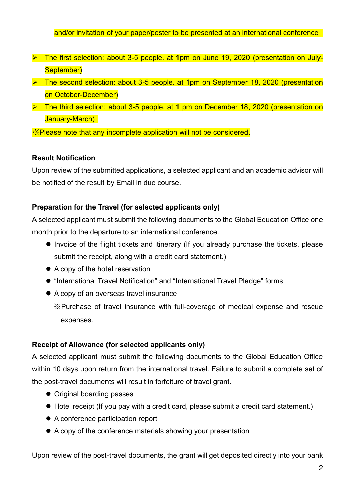#### and/or invitation of your paper/poster to be presented at an international conference

- ▶ The first selection: about 3-5 people. at 1pm on June 19, 2020 (presentation on July-September)
- **EX** The second selection: about 3-5 people. at 1pm on September 18, 2020 (presentation on October-December)
- **EX** The third selection: about 3-5 people. at 1 pm on December 18, 2020 (presentation on January-March)

※Please note that any incomplete application will not be considered.

#### **Result Notification**

Upon review of the submitted applications, a selected applicant and an academic advisor will be notified of the result by Email in due course.

### **Preparation for the Travel (for selected applicants only)**

A selected applicant must submit the following documents to the Global Education Office one month prior to the departure to an international conference.

- $\bullet$  Invoice of the flight tickets and itinerary (If you already purchase the tickets, please submit the receipt, along with a credit card statement.)
- A copy of the hotel reservation
- "International Travel Notification" and "International Travel Pledge" forms
- A copy of an overseas travel insurance

※Purchase of travel insurance with full-coverage of medical expense and rescue expenses.

### **Receipt of Allowance (for selected applicants only)**

A selected applicant must submit the following documents to the Global Education Office within 10 days upon return from the international travel. Failure to submit a complete set of the post-travel documents will result in forfeiture of travel grant.

- Original boarding passes
- Hotel receipt (If you pay with a credit card, please submit a credit card statement.)
- A conference participation report
- A copy of the conference materials showing your presentation

Upon review of the post-travel documents, the grant will get deposited directly into your bank